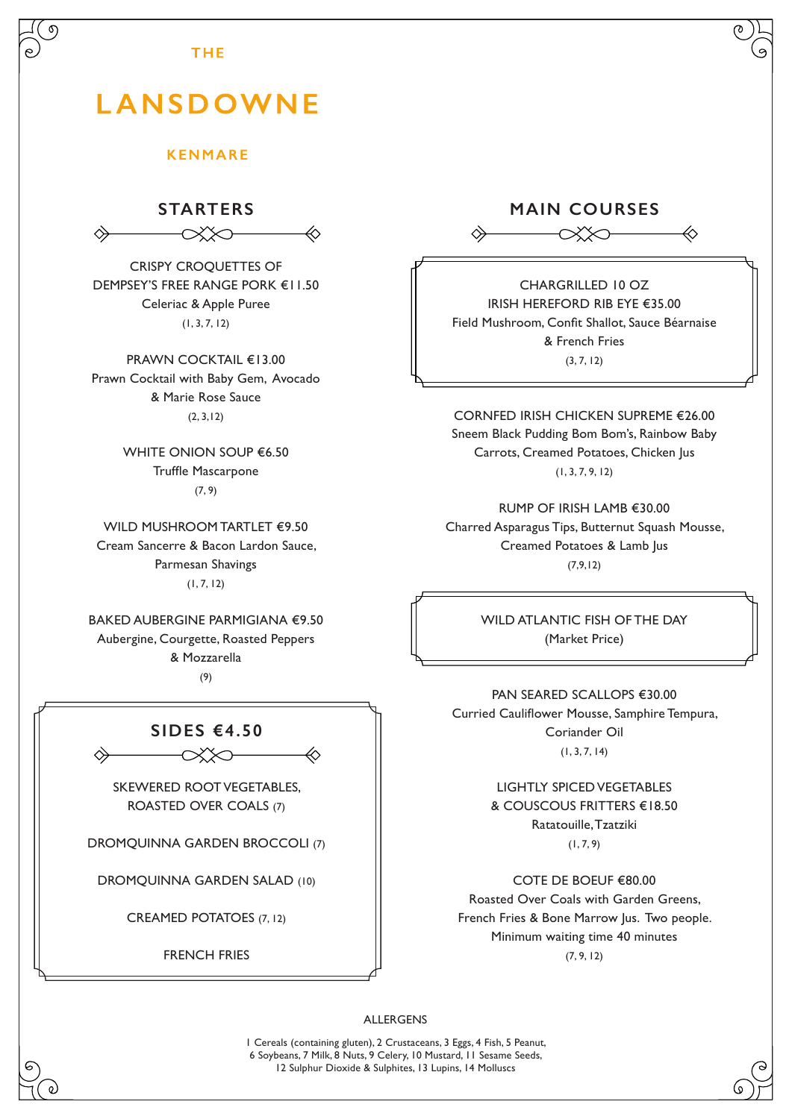#### **THE**

# **LANSDOWNE**

#### **KENMARE**

### **STARTERS**

 $\propto$ ≪

CRISPY CROQUETTES OF DEMPSEY'S FREE RANGE PORK €11.50 Celeriac & Apple Puree (1, 3, 7, 12)

PRAWN COCKTAIL €13.00 Prawn Cocktail with Baby Gem, Avocado & Marie Rose Sauce (2, 3,12)

> WHITE ONION SOUP €6.50 Truffle Mascarpone (7, 9)

WILD MUSHROOM TARTLET €9.50 Cream Sancerre & Bacon Lardon Sauce, Parmesan Shavings (1, 7, 12)

BAKED AUBERGINE PARMIGIANA €9.50 Aubergine, Courgette, Roasted Peppers & Mozzarella (9)

> **SIDES €4.50**  $\propto$

≪

SKEWERED ROOT VEGETABLES, ROASTED OVER COALS (7)

DROMQUINNA GARDEN BROCCOLI (7)

DROMQUINNA GARDEN SALAD (10)

CREAMED POTATOES (7, 12)

FRENCH FRIES

## **MAIN COURSES**  $\overline{\phantom{a}}$

伦

◇

CHARGRILLED 10 OZ IRISH HEREFORD RIB EYE €35.00 Field Mushroom, Confit Shallot, Sauce Béarnaise & French Fries (3, 7, 12)

CORNFED IRISH CHICKEN SUPREME €26.00 Sneem Black Pudding Bom Bom's, Rainbow Baby Carrots, Creamed Potatoes, Chicken Jus (1, 3, 7, 9, 12)

RUMP OF IRISH LAMB €30.00 Charred Asparagus Tips, Butternut Squash Mousse, Creamed Potatoes & Lamb Jus (7,9,12)

> WILD ATLANTIC FISH OF THE DAY (Market Price)

PAN SEARED SCALLOPS €30.00 Curried Cauliflower Mousse, Samphire Tempura, Coriander Oil (1, 3, 7, 14)

> LIGHTLY SPICED VEGETABLES & COUSCOUS FRITTERS €18.50 Ratatouille, Tzatziki  $(1, 7, 9)$

COTE DE BOEUF €80.00 Roasted Over Coals with Garden Greens, French Fries & Bone Marrow Jus. Two people. Minimum waiting time 40 minutes (7, 9, 12)

ALLERGENS

1 Cereals (containing gluten), 2 Crustaceans, 3 Eggs, 4 Fish, 5 Peanut, 6 Soybeans, 7 Milk, 8 Nuts, 9 Celery, 10 Mustard, 11 Sesame Seeds, 12 Sulphur Dioxide & Sulphites, 13 Lupins, 14 Molluscs